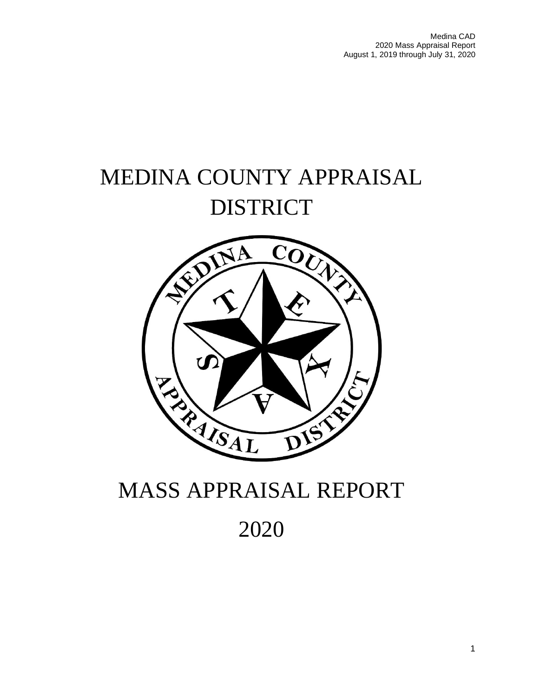Medina CAD 2020 Mass Appraisal Report August 1, 2019 through July 31, 2020

# MEDINA COUNTY APPRAISAL DISTRICT



# MASS APPRAISAL REPORT

2020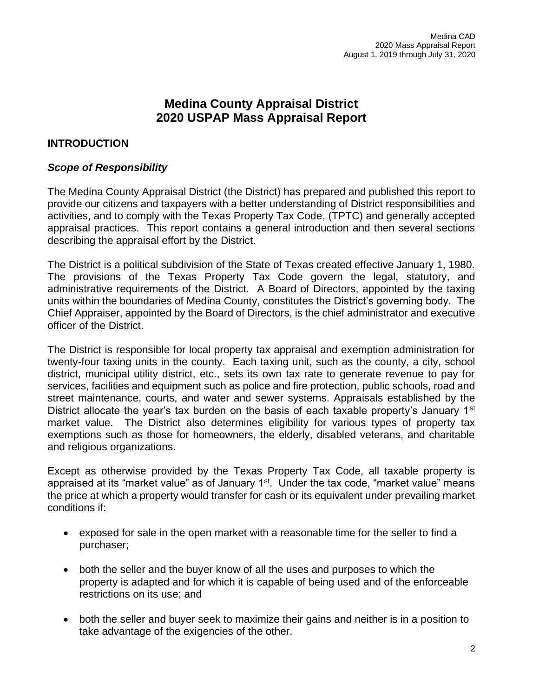# **Medina County Appraisal District 2020 USPAP Mass Appraisal Report**

## **INTRODUCTION**

## *Scope of Responsibility*

The Medina County Appraisal District (the District) has prepared and published this report to provide our citizens and taxpayers with a better understanding of District responsibilities and activities, and to comply with the Texas Property Tax Code, (TPTC) and generally accepted appraisal practices. This report contains a general introduction and then several sections describing the appraisal effort by the District.

The District is a political subdivision of the State of Texas created effective January 1, 1980. The provisions of the Texas Property Tax Code govern the legal, statutory, and administrative requirements of the District. A Board of Directors, appointed by the taxing units within the boundaries of Medina County, constitutes the District's governing body. The Chief Appraiser, appointed by the Board of Directors, is the chief administrator and executive officer of the District.

The District is responsible for local property tax appraisal and exemption administration for twenty-four taxing units in the county. Each taxing unit, such as the county, a city, school district, municipal utility district, etc., sets its own tax rate to generate revenue to pay for services, facilities and equipment such as police and fire protection, public schools, road and street maintenance, courts, and water and sewer systems. Appraisals established by the District allocate the year's tax burden on the basis of each taxable property's January  $1<sup>st</sup>$ market value. The District also determines eligibility for various types of property tax exemptions such as those for homeowners, the elderly, disabled veterans, and charitable and religious organizations.

Except as otherwise provided by the Texas Property Tax Code, all taxable property is appraised at its "market value" as of January  $1<sup>st</sup>$ . Under the tax code, "market value" means the price at which a property would transfer for cash or its equivalent under prevailing market conditions if:

- exposed for sale in the open market with a reasonable time for the seller to find a purchaser;
- both the seller and the buyer know of all the uses and purposes to which the property is adapted and for which it is capable of being used and of the enforceable restrictions on its use; and
- both the seller and buyer seek to maximize their gains and neither is in a position to take advantage of the exigencies of the other.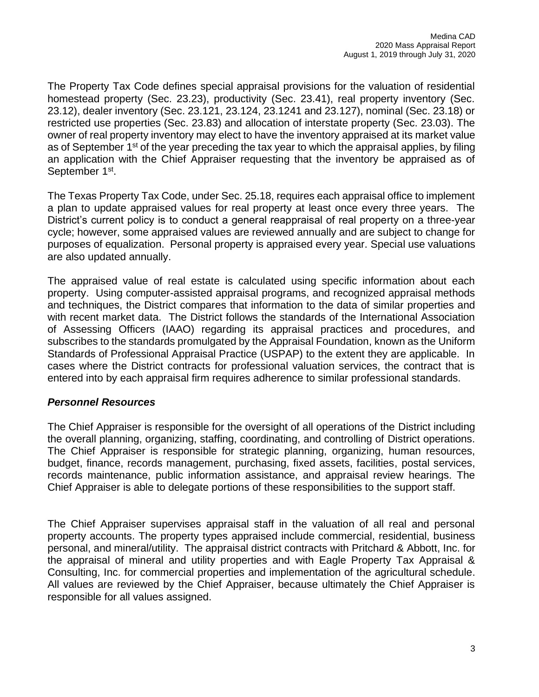The Property Tax Code defines special appraisal provisions for the valuation of residential homestead property (Sec. 23.23), productivity (Sec. 23.41), real property inventory (Sec. 23.12), dealer inventory (Sec. 23.121, 23.124, 23.1241 and 23.127), nominal (Sec. 23.18) or restricted use properties (Sec. 23.83) and allocation of interstate property (Sec. 23.03). The owner of real property inventory may elect to have the inventory appraised at its market value as of September  $1<sup>st</sup>$  of the year preceding the tax year to which the appraisal applies, by filing an application with the Chief Appraiser requesting that the inventory be appraised as of September 1<sup>st</sup>.

The Texas Property Tax Code, under Sec. 25.18, requires each appraisal office to implement a plan to update appraised values for real property at least once every three years. The District's current policy is to conduct a general reappraisal of real property on a three-year cycle; however, some appraised values are reviewed annually and are subject to change for purposes of equalization. Personal property is appraised every year. Special use valuations are also updated annually.

The appraised value of real estate is calculated using specific information about each property. Using computer-assisted appraisal programs, and recognized appraisal methods and techniques, the District compares that information to the data of similar properties and with recent market data. The District follows the standards of the International Association of Assessing Officers (IAAO) regarding its appraisal practices and procedures, and subscribes to the standards promulgated by the Appraisal Foundation, known as the Uniform Standards of Professional Appraisal Practice (USPAP) to the extent they are applicable. In cases where the District contracts for professional valuation services, the contract that is entered into by each appraisal firm requires adherence to similar professional standards.

## *Personnel Resources*

The Chief Appraiser is responsible for the oversight of all operations of the District including the overall planning, organizing, staffing, coordinating, and controlling of District operations. The Chief Appraiser is responsible for strategic planning, organizing, human resources, budget, finance, records management, purchasing, fixed assets, facilities, postal services, records maintenance, public information assistance, and appraisal review hearings. The Chief Appraiser is able to delegate portions of these responsibilities to the support staff.

The Chief Appraiser supervises appraisal staff in the valuation of all real and personal property accounts. The property types appraised include commercial, residential, business personal, and mineral/utility. The appraisal district contracts with Pritchard & Abbott, Inc. for the appraisal of mineral and utility properties and with Eagle Property Tax Appraisal & Consulting, Inc. for commercial properties and implementation of the agricultural schedule. All values are reviewed by the Chief Appraiser, because ultimately the Chief Appraiser is responsible for all values assigned.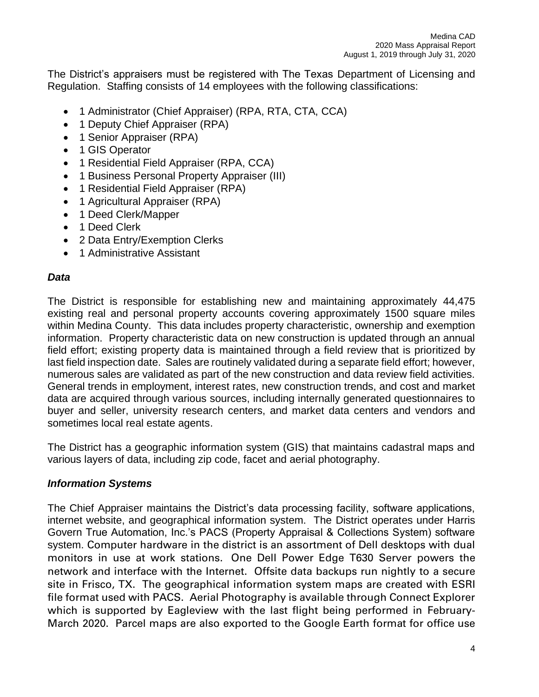The District's appraisers must be registered with The Texas Department of Licensing and Regulation. Staffing consists of 14 employees with the following classifications:

- 1 Administrator (Chief Appraiser) (RPA, RTA, CTA, CCA)
- 1 Deputy Chief Appraiser (RPA)
- 1 Senior Appraiser (RPA)
- 1 GIS Operator
- 1 Residential Field Appraiser (RPA, CCA)
- 1 Business Personal Property Appraiser (III)
- 1 Residential Field Appraiser (RPA)
- 1 Agricultural Appraiser (RPA)
- 1 Deed Clerk/Mapper
- 1 Deed Clerk
- 2 Data Entry/Exemption Clerks
- 1 Administrative Assistant

## *Data*

The District is responsible for establishing new and maintaining approximately 44,475 existing real and personal property accounts covering approximately 1500 square miles within Medina County. This data includes property characteristic, ownership and exemption information. Property characteristic data on new construction is updated through an annual field effort; existing property data is maintained through a field review that is prioritized by last field inspection date. Sales are routinely validated during a separate field effort; however, numerous sales are validated as part of the new construction and data review field activities. General trends in employment, interest rates, new construction trends, and cost and market data are acquired through various sources, including internally generated questionnaires to buyer and seller, university research centers, and market data centers and vendors and sometimes local real estate agents.

The District has a geographic information system (GIS) that maintains cadastral maps and various layers of data, including zip code, facet and aerial photography.

## *Information Systems*

The Chief Appraiser maintains the District's data processing facility, software applications, internet website, and geographical information system. The District operates under Harris Govern True Automation, Inc.'s PACS (Property Appraisal & Collections System) software system. Computer hardware in the district is an assortment of Dell desktops with dual monitors in use at work stations. One Dell Power Edge T630 Server powers the network and interface with the Internet. Offsite data backups run nightly to a secure site in Frisco, TX. The geographical information system maps are created with ESRI file format used with PACS. Aerial Photography is available through Connect Explorer which is supported by Eagleview with the last flight being performed in February-March 2020. Parcel maps are also exported to the Google Earth format for office use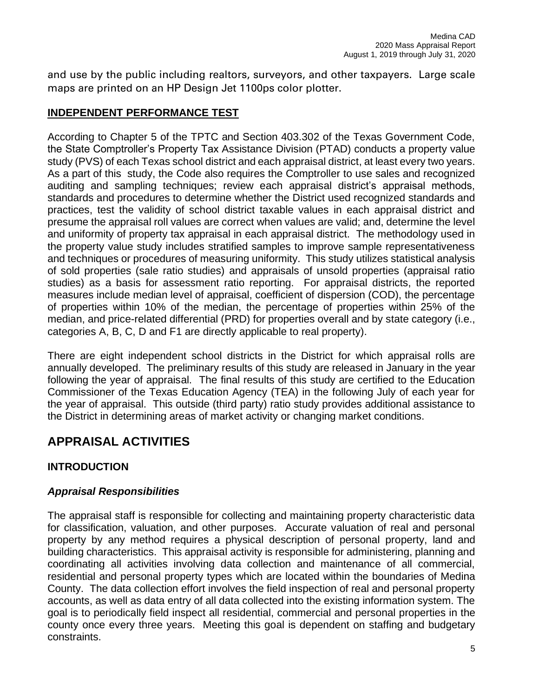and use by the public including realtors, surveyors, and other taxpayers. Large scale maps are printed on an HP Design Jet 1100ps color plotter.

## **INDEPENDENT PERFORMANCE TEST**

According to Chapter 5 of the TPTC and Section 403.302 of the Texas Government Code, the State Comptroller's Property Tax Assistance Division (PTAD) conducts a property value study (PVS) of each Texas school district and each appraisal district, at least every two years. As a part of this study, the Code also requires the Comptroller to use sales and recognized auditing and sampling techniques; review each appraisal district's appraisal methods, standards and procedures to determine whether the District used recognized standards and practices, test the validity of school district taxable values in each appraisal district and presume the appraisal roll values are correct when values are valid; and, determine the level and uniformity of property tax appraisal in each appraisal district. The methodology used in the property value study includes stratified samples to improve sample representativeness and techniques or procedures of measuring uniformity. This study utilizes statistical analysis of sold properties (sale ratio studies) and appraisals of unsold properties (appraisal ratio studies) as a basis for assessment ratio reporting. For appraisal districts, the reported measures include median level of appraisal, coefficient of dispersion (COD), the percentage of properties within 10% of the median, the percentage of properties within 25% of the median, and price-related differential (PRD) for properties overall and by state category (i.e., categories A, B, C, D and F1 are directly applicable to real property).

There are eight independent school districts in the District for which appraisal rolls are annually developed. The preliminary results of this study are released in January in the year following the year of appraisal. The final results of this study are certified to the Education Commissioner of the Texas Education Agency (TEA) in the following July of each year for the year of appraisal. This outside (third party) ratio study provides additional assistance to the District in determining areas of market activity or changing market conditions.

# **APPRAISAL ACTIVITIES**

## **INTRODUCTION**

## *Appraisal Responsibilities*

The appraisal staff is responsible for collecting and maintaining property characteristic data for classification, valuation, and other purposes. Accurate valuation of real and personal property by any method requires a physical description of personal property, land and building characteristics. This appraisal activity is responsible for administering, planning and coordinating all activities involving data collection and maintenance of all commercial, residential and personal property types which are located within the boundaries of Medina County. The data collection effort involves the field inspection of real and personal property accounts, as well as data entry of all data collected into the existing information system. The goal is to periodically field inspect all residential, commercial and personal properties in the county once every three years. Meeting this goal is dependent on staffing and budgetary constraints.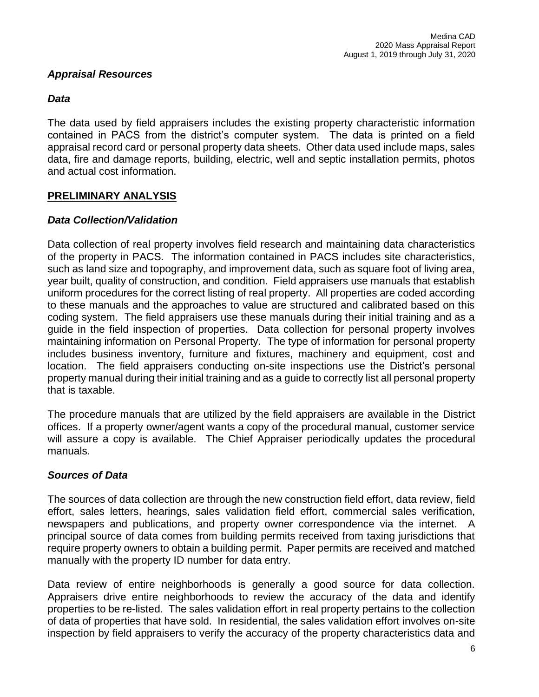## *Appraisal Resources*

## *Data*

The data used by field appraisers includes the existing property characteristic information contained in PACS from the district's computer system. The data is printed on a field appraisal record card or personal property data sheets. Other data used include maps, sales data, fire and damage reports, building, electric, well and septic installation permits, photos and actual cost information.

## **PRELIMINARY ANALYSIS**

## *Data Collection/Validation*

Data collection of real property involves field research and maintaining data characteristics of the property in PACS. The information contained in PACS includes site characteristics, such as land size and topography, and improvement data, such as square foot of living area, year built, quality of construction, and condition. Field appraisers use manuals that establish uniform procedures for the correct listing of real property. All properties are coded according to these manuals and the approaches to value are structured and calibrated based on this coding system. The field appraisers use these manuals during their initial training and as a guide in the field inspection of properties. Data collection for personal property involves maintaining information on Personal Property. The type of information for personal property includes business inventory, furniture and fixtures, machinery and equipment, cost and location. The field appraisers conducting on-site inspections use the District's personal property manual during their initial training and as a guide to correctly list all personal property that is taxable.

The procedure manuals that are utilized by the field appraisers are available in the District offices. If a property owner/agent wants a copy of the procedural manual, customer service will assure a copy is available. The Chief Appraiser periodically updates the procedural manuals.

## *Sources of Data*

The sources of data collection are through the new construction field effort, data review, field effort, sales letters, hearings, sales validation field effort, commercial sales verification, newspapers and publications, and property owner correspondence via the internet. A principal source of data comes from building permits received from taxing jurisdictions that require property owners to obtain a building permit. Paper permits are received and matched manually with the property ID number for data entry.

Data review of entire neighborhoods is generally a good source for data collection. Appraisers drive entire neighborhoods to review the accuracy of the data and identify properties to be re-listed. The sales validation effort in real property pertains to the collection of data of properties that have sold. In residential, the sales validation effort involves on-site inspection by field appraisers to verify the accuracy of the property characteristics data and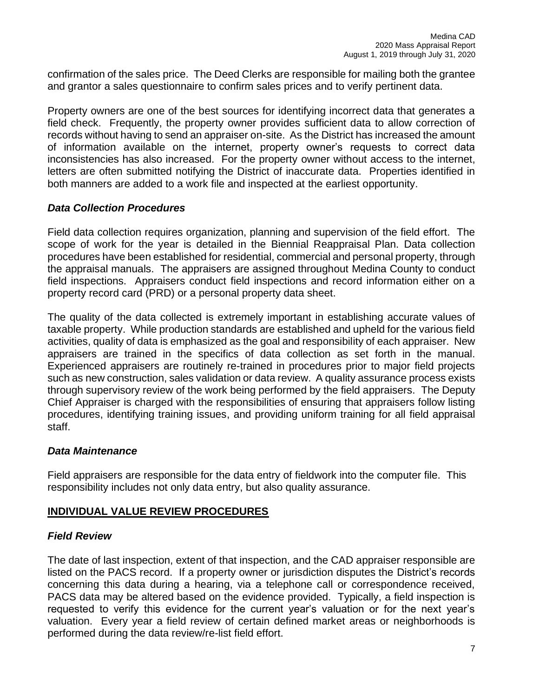confirmation of the sales price. The Deed Clerks are responsible for mailing both the grantee and grantor a sales questionnaire to confirm sales prices and to verify pertinent data.

Property owners are one of the best sources for identifying incorrect data that generates a field check. Frequently, the property owner provides sufficient data to allow correction of records without having to send an appraiser on-site. As the District has increased the amount of information available on the internet, property owner's requests to correct data inconsistencies has also increased. For the property owner without access to the internet, letters are often submitted notifying the District of inaccurate data. Properties identified in both manners are added to a work file and inspected at the earliest opportunity.

## *Data Collection Procedures*

Field data collection requires organization, planning and supervision of the field effort. The scope of work for the year is detailed in the Biennial Reappraisal Plan. Data collection procedures have been established for residential, commercial and personal property, through the appraisal manuals. The appraisers are assigned throughout Medina County to conduct field inspections. Appraisers conduct field inspections and record information either on a property record card (PRD) or a personal property data sheet.

The quality of the data collected is extremely important in establishing accurate values of taxable property. While production standards are established and upheld for the various field activities, quality of data is emphasized as the goal and responsibility of each appraiser. New appraisers are trained in the specifics of data collection as set forth in the manual. Experienced appraisers are routinely re-trained in procedures prior to major field projects such as new construction, sales validation or data review. A quality assurance process exists through supervisory review of the work being performed by the field appraisers. The Deputy Chief Appraiser is charged with the responsibilities of ensuring that appraisers follow listing procedures, identifying training issues, and providing uniform training for all field appraisal staff.

## *Data Maintenance*

Field appraisers are responsible for the data entry of fieldwork into the computer file. This responsibility includes not only data entry, but also quality assurance.

## **INDIVIDUAL VALUE REVIEW PROCEDURES**

## *Field Review*

The date of last inspection, extent of that inspection, and the CAD appraiser responsible are listed on the PACS record. If a property owner or jurisdiction disputes the District's records concerning this data during a hearing, via a telephone call or correspondence received, PACS data may be altered based on the evidence provided. Typically, a field inspection is requested to verify this evidence for the current year's valuation or for the next year's valuation. Every year a field review of certain defined market areas or neighborhoods is performed during the data review/re-list field effort.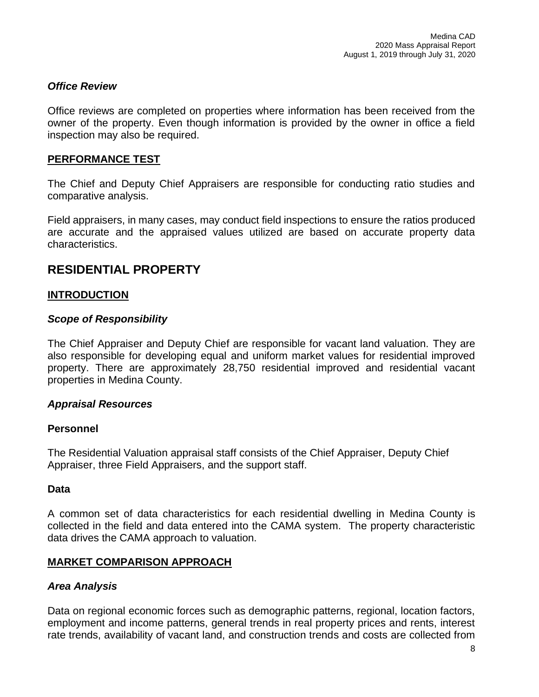## *Office Review*

Office reviews are completed on properties where information has been received from the owner of the property. Even though information is provided by the owner in office a field inspection may also be required.

## **PERFORMANCE TEST**

The Chief and Deputy Chief Appraisers are responsible for conducting ratio studies and comparative analysis.

Field appraisers, in many cases, may conduct field inspections to ensure the ratios produced are accurate and the appraised values utilized are based on accurate property data characteristics.

## **RESIDENTIAL PROPERTY**

## **INTRODUCTION**

## *Scope of Responsibility*

The Chief Appraiser and Deputy Chief are responsible for vacant land valuation. They are also responsible for developing equal and uniform market values for residential improved property. There are approximately 28,750 residential improved and residential vacant properties in Medina County.

## *Appraisal Resources*

## **Personnel**

The Residential Valuation appraisal staff consists of the Chief Appraiser, Deputy Chief Appraiser, three Field Appraisers, and the support staff.

## **Data**

A common set of data characteristics for each residential dwelling in Medina County is collected in the field and data entered into the CAMA system. The property characteristic data drives the CAMA approach to valuation.

## **MARKET COMPARISON APPROACH**

## *Area Analysis*

Data on regional economic forces such as demographic patterns, regional, location factors, employment and income patterns, general trends in real property prices and rents, interest rate trends, availability of vacant land, and construction trends and costs are collected from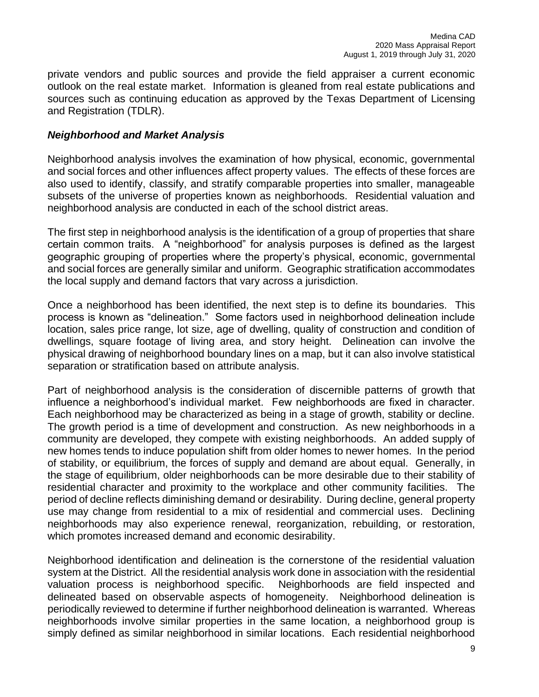private vendors and public sources and provide the field appraiser a current economic outlook on the real estate market. Information is gleaned from real estate publications and sources such as continuing education as approved by the Texas Department of Licensing and Registration (TDLR).

## *Neighborhood and Market Analysis*

Neighborhood analysis involves the examination of how physical, economic, governmental and social forces and other influences affect property values. The effects of these forces are also used to identify, classify, and stratify comparable properties into smaller, manageable subsets of the universe of properties known as neighborhoods. Residential valuation and neighborhood analysis are conducted in each of the school district areas.

The first step in neighborhood analysis is the identification of a group of properties that share certain common traits. A "neighborhood" for analysis purposes is defined as the largest geographic grouping of properties where the property's physical, economic, governmental and social forces are generally similar and uniform. Geographic stratification accommodates the local supply and demand factors that vary across a jurisdiction.

Once a neighborhood has been identified, the next step is to define its boundaries. This process is known as "delineation." Some factors used in neighborhood delineation include location, sales price range, lot size, age of dwelling, quality of construction and condition of dwellings, square footage of living area, and story height. Delineation can involve the physical drawing of neighborhood boundary lines on a map, but it can also involve statistical separation or stratification based on attribute analysis.

Part of neighborhood analysis is the consideration of discernible patterns of growth that influence a neighborhood's individual market. Few neighborhoods are fixed in character. Each neighborhood may be characterized as being in a stage of growth, stability or decline. The growth period is a time of development and construction. As new neighborhoods in a community are developed, they compete with existing neighborhoods. An added supply of new homes tends to induce population shift from older homes to newer homes. In the period of stability, or equilibrium, the forces of supply and demand are about equal. Generally, in the stage of equilibrium, older neighborhoods can be more desirable due to their stability of residential character and proximity to the workplace and other community facilities. The period of decline reflects diminishing demand or desirability. During decline, general property use may change from residential to a mix of residential and commercial uses. Declining neighborhoods may also experience renewal, reorganization, rebuilding, or restoration, which promotes increased demand and economic desirability.

Neighborhood identification and delineation is the cornerstone of the residential valuation system at the District. All the residential analysis work done in association with the residential valuation process is neighborhood specific. Neighborhoods are field inspected and delineated based on observable aspects of homogeneity. Neighborhood delineation is periodically reviewed to determine if further neighborhood delineation is warranted. Whereas neighborhoods involve similar properties in the same location, a neighborhood group is simply defined as similar neighborhood in similar locations. Each residential neighborhood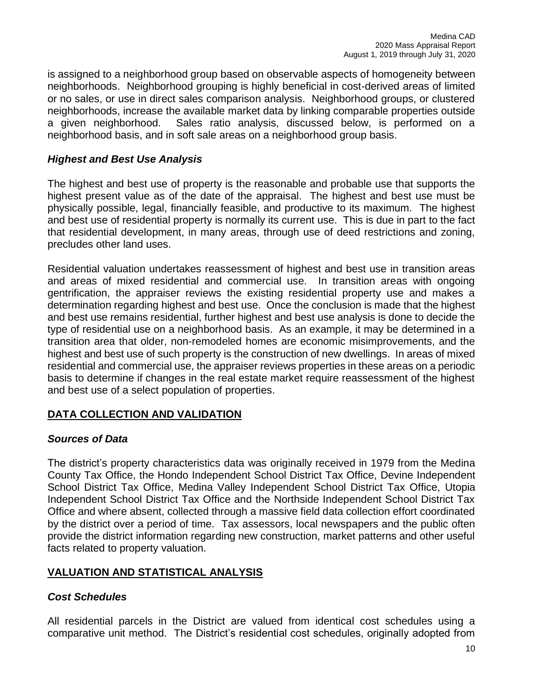is assigned to a neighborhood group based on observable aspects of homogeneity between neighborhoods. Neighborhood grouping is highly beneficial in cost-derived areas of limited or no sales, or use in direct sales comparison analysis. Neighborhood groups, or clustered neighborhoods, increase the available market data by linking comparable properties outside a given neighborhood. Sales ratio analysis, discussed below, is performed on a neighborhood basis, and in soft sale areas on a neighborhood group basis.

## *Highest and Best Use Analysis*

The highest and best use of property is the reasonable and probable use that supports the highest present value as of the date of the appraisal. The highest and best use must be physically possible, legal, financially feasible, and productive to its maximum. The highest and best use of residential property is normally its current use. This is due in part to the fact that residential development, in many areas, through use of deed restrictions and zoning, precludes other land uses.

Residential valuation undertakes reassessment of highest and best use in transition areas and areas of mixed residential and commercial use. In transition areas with ongoing gentrification, the appraiser reviews the existing residential property use and makes a determination regarding highest and best use. Once the conclusion is made that the highest and best use remains residential, further highest and best use analysis is done to decide the type of residential use on a neighborhood basis. As an example, it may be determined in a transition area that older, non-remodeled homes are economic misimprovements, and the highest and best use of such property is the construction of new dwellings. In areas of mixed residential and commercial use, the appraiser reviews properties in these areas on a periodic basis to determine if changes in the real estate market require reassessment of the highest and best use of a select population of properties.

## **DATA COLLECTION AND VALIDATION**

## *Sources of Data*

The district's property characteristics data was originally received in 1979 from the Medina County Tax Office, the Hondo Independent School District Tax Office, Devine Independent School District Tax Office, Medina Valley Independent School District Tax Office, Utopia Independent School District Tax Office and the Northside Independent School District Tax Office and where absent, collected through a massive field data collection effort coordinated by the district over a period of time. Tax assessors, local newspapers and the public often provide the district information regarding new construction, market patterns and other useful facts related to property valuation.

## **VALUATION AND STATISTICAL ANALYSIS**

## *Cost Schedules*

All residential parcels in the District are valued from identical cost schedules using a comparative unit method. The District's residential cost schedules, originally adopted from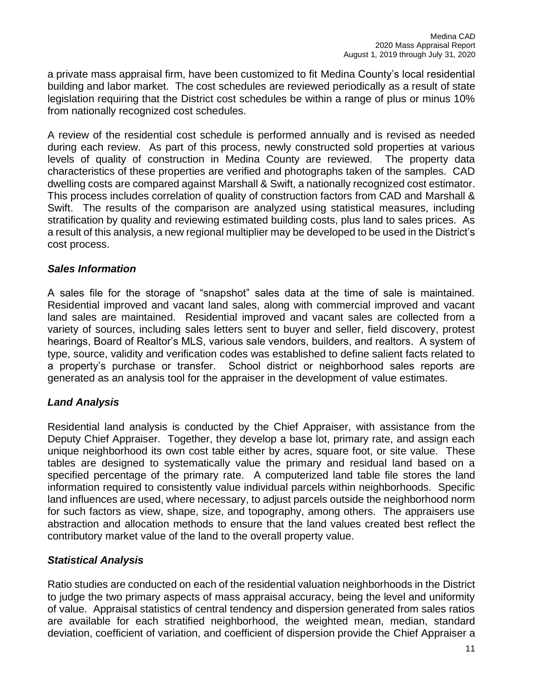a private mass appraisal firm, have been customized to fit Medina County's local residential building and labor market. The cost schedules are reviewed periodically as a result of state legislation requiring that the District cost schedules be within a range of plus or minus 10% from nationally recognized cost schedules.

A review of the residential cost schedule is performed annually and is revised as needed during each review. As part of this process, newly constructed sold properties at various levels of quality of construction in Medina County are reviewed. The property data characteristics of these properties are verified and photographs taken of the samples. CAD dwelling costs are compared against Marshall & Swift, a nationally recognized cost estimator. This process includes correlation of quality of construction factors from CAD and Marshall & Swift. The results of the comparison are analyzed using statistical measures, including stratification by quality and reviewing estimated building costs, plus land to sales prices. As a result of this analysis, a new regional multiplier may be developed to be used in the District's cost process.

## *Sales Information*

A sales file for the storage of "snapshot" sales data at the time of sale is maintained. Residential improved and vacant land sales, along with commercial improved and vacant land sales are maintained. Residential improved and vacant sales are collected from a variety of sources, including sales letters sent to buyer and seller, field discovery, protest hearings, Board of Realtor's MLS, various sale vendors, builders, and realtors. A system of type, source, validity and verification codes was established to define salient facts related to a property's purchase or transfer. School district or neighborhood sales reports are generated as an analysis tool for the appraiser in the development of value estimates.

## *Land Analysis*

Residential land analysis is conducted by the Chief Appraiser, with assistance from the Deputy Chief Appraiser. Together, they develop a base lot, primary rate, and assign each unique neighborhood its own cost table either by acres, square foot, or site value. These tables are designed to systematically value the primary and residual land based on a specified percentage of the primary rate. A computerized land table file stores the land information required to consistently value individual parcels within neighborhoods. Specific land influences are used, where necessary, to adjust parcels outside the neighborhood norm for such factors as view, shape, size, and topography, among others. The appraisers use abstraction and allocation methods to ensure that the land values created best reflect the contributory market value of the land to the overall property value.

## *Statistical Analysis*

Ratio studies are conducted on each of the residential valuation neighborhoods in the District to judge the two primary aspects of mass appraisal accuracy, being the level and uniformity of value. Appraisal statistics of central tendency and dispersion generated from sales ratios are available for each stratified neighborhood, the weighted mean, median, standard deviation, coefficient of variation, and coefficient of dispersion provide the Chief Appraiser a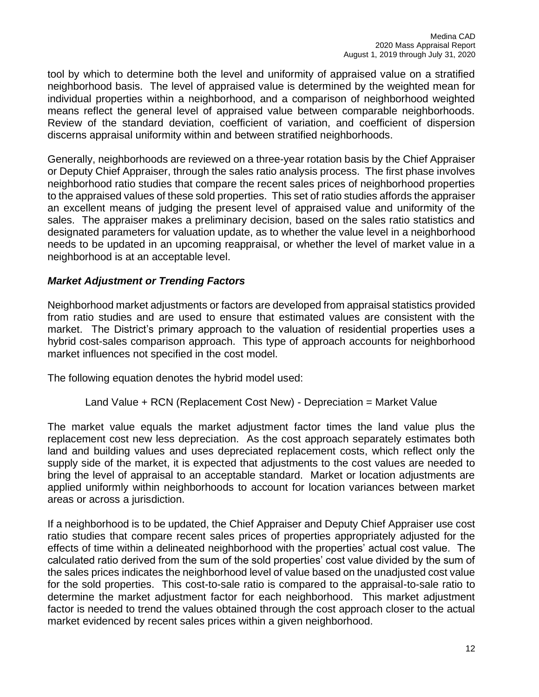tool by which to determine both the level and uniformity of appraised value on a stratified neighborhood basis. The level of appraised value is determined by the weighted mean for individual properties within a neighborhood, and a comparison of neighborhood weighted means reflect the general level of appraised value between comparable neighborhoods. Review of the standard deviation, coefficient of variation, and coefficient of dispersion discerns appraisal uniformity within and between stratified neighborhoods.

Generally, neighborhoods are reviewed on a three-year rotation basis by the Chief Appraiser or Deputy Chief Appraiser, through the sales ratio analysis process. The first phase involves neighborhood ratio studies that compare the recent sales prices of neighborhood properties to the appraised values of these sold properties. This set of ratio studies affords the appraiser an excellent means of judging the present level of appraised value and uniformity of the sales. The appraiser makes a preliminary decision, based on the sales ratio statistics and designated parameters for valuation update, as to whether the value level in a neighborhood needs to be updated in an upcoming reappraisal, or whether the level of market value in a neighborhood is at an acceptable level.

## *Market Adjustment or Trending Factors*

Neighborhood market adjustments or factors are developed from appraisal statistics provided from ratio studies and are used to ensure that estimated values are consistent with the market. The District's primary approach to the valuation of residential properties uses a hybrid cost-sales comparison approach. This type of approach accounts for neighborhood market influences not specified in the cost model.

The following equation denotes the hybrid model used:

## Land Value + RCN (Replacement Cost New) - Depreciation = Market Value

The market value equals the market adjustment factor times the land value plus the replacement cost new less depreciation. As the cost approach separately estimates both land and building values and uses depreciated replacement costs, which reflect only the supply side of the market, it is expected that adjustments to the cost values are needed to bring the level of appraisal to an acceptable standard. Market or location adjustments are applied uniformly within neighborhoods to account for location variances between market areas or across a jurisdiction.

If a neighborhood is to be updated, the Chief Appraiser and Deputy Chief Appraiser use cost ratio studies that compare recent sales prices of properties appropriately adjusted for the effects of time within a delineated neighborhood with the properties' actual cost value. The calculated ratio derived from the sum of the sold properties' cost value divided by the sum of the sales prices indicates the neighborhood level of value based on the unadjusted cost value for the sold properties. This cost-to-sale ratio is compared to the appraisal-to-sale ratio to determine the market adjustment factor for each neighborhood. This market adjustment factor is needed to trend the values obtained through the cost approach closer to the actual market evidenced by recent sales prices within a given neighborhood.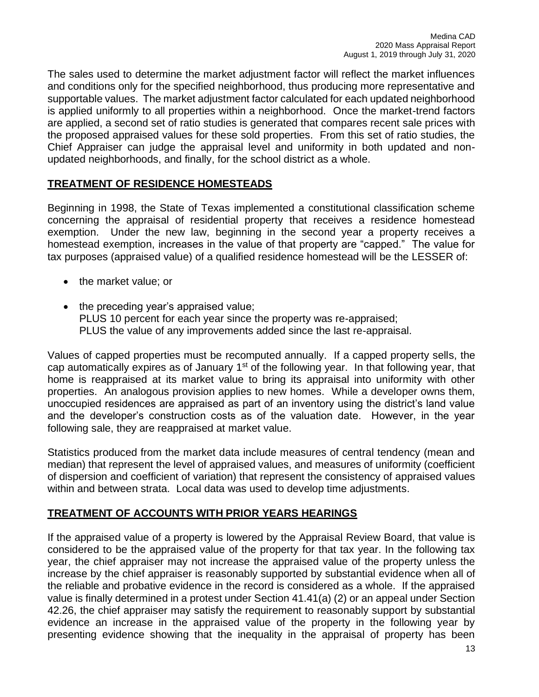The sales used to determine the market adjustment factor will reflect the market influences and conditions only for the specified neighborhood, thus producing more representative and supportable values. The market adjustment factor calculated for each updated neighborhood is applied uniformly to all properties within a neighborhood. Once the market-trend factors are applied, a second set of ratio studies is generated that compares recent sale prices with the proposed appraised values for these sold properties. From this set of ratio studies, the Chief Appraiser can judge the appraisal level and uniformity in both updated and nonupdated neighborhoods, and finally, for the school district as a whole.

## **TREATMENT OF RESIDENCE HOMESTEADS**

Beginning in 1998, the State of Texas implemented a constitutional classification scheme concerning the appraisal of residential property that receives a residence homestead exemption. Under the new law, beginning in the second year a property receives a homestead exemption, increases in the value of that property are "capped." The value for tax purposes (appraised value) of a qualified residence homestead will be the LESSER of:

- the market value; or
- the preceding year's appraised value; PLUS 10 percent for each year since the property was re-appraised; PLUS the value of any improvements added since the last re-appraisal.

Values of capped properties must be recomputed annually. If a capped property sells, the cap automatically expires as of January  $1<sup>st</sup>$  of the following year. In that following year, that home is reappraised at its market value to bring its appraisal into uniformity with other properties. An analogous provision applies to new homes. While a developer owns them, unoccupied residences are appraised as part of an inventory using the district's land value and the developer's construction costs as of the valuation date. However, in the year following sale, they are reappraised at market value.

Statistics produced from the market data include measures of central tendency (mean and median) that represent the level of appraised values, and measures of uniformity (coefficient of dispersion and coefficient of variation) that represent the consistency of appraised values within and between strata. Local data was used to develop time adjustments.

## **TREATMENT OF ACCOUNTS WITH PRIOR YEARS HEARINGS**

If the appraised value of a property is lowered by the Appraisal Review Board, that value is considered to be the appraised value of the property for that tax year. In the following tax year, the chief appraiser may not increase the appraised value of the property unless the increase by the chief appraiser is reasonably supported by substantial evidence when all of the reliable and probative evidence in the record is considered as a whole. If the appraised value is finally determined in a protest under Section 41.41(a) (2) or an appeal under Section 42.26, the chief appraiser may satisfy the requirement to reasonably support by substantial evidence an increase in the appraised value of the property in the following year by presenting evidence showing that the inequality in the appraisal of property has been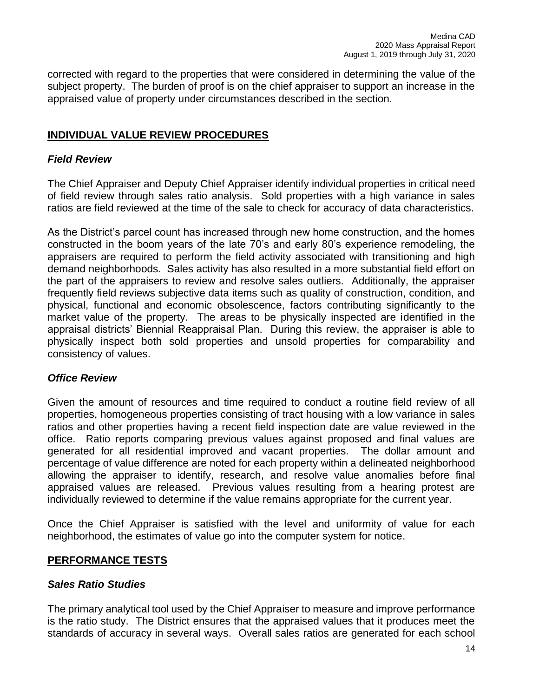corrected with regard to the properties that were considered in determining the value of the subject property. The burden of proof is on the chief appraiser to support an increase in the appraised value of property under circumstances described in the section.

## **INDIVIDUAL VALUE REVIEW PROCEDURES**

## *Field Review*

The Chief Appraiser and Deputy Chief Appraiser identify individual properties in critical need of field review through sales ratio analysis. Sold properties with a high variance in sales ratios are field reviewed at the time of the sale to check for accuracy of data characteristics.

As the District's parcel count has increased through new home construction, and the homes constructed in the boom years of the late 70's and early 80's experience remodeling, the appraisers are required to perform the field activity associated with transitioning and high demand neighborhoods. Sales activity has also resulted in a more substantial field effort on the part of the appraisers to review and resolve sales outliers. Additionally, the appraiser frequently field reviews subjective data items such as quality of construction, condition, and physical, functional and economic obsolescence, factors contributing significantly to the market value of the property. The areas to be physically inspected are identified in the appraisal districts' Biennial Reappraisal Plan. During this review, the appraiser is able to physically inspect both sold properties and unsold properties for comparability and consistency of values.

## *Office Review*

Given the amount of resources and time required to conduct a routine field review of all properties, homogeneous properties consisting of tract housing with a low variance in sales ratios and other properties having a recent field inspection date are value reviewed in the office. Ratio reports comparing previous values against proposed and final values are generated for all residential improved and vacant properties. The dollar amount and percentage of value difference are noted for each property within a delineated neighborhood allowing the appraiser to identify, research, and resolve value anomalies before final appraised values are released. Previous values resulting from a hearing protest are individually reviewed to determine if the value remains appropriate for the current year.

Once the Chief Appraiser is satisfied with the level and uniformity of value for each neighborhood, the estimates of value go into the computer system for notice.

## **PERFORMANCE TESTS**

#### *Sales Ratio Studies*

The primary analytical tool used by the Chief Appraiser to measure and improve performance is the ratio study. The District ensures that the appraised values that it produces meet the standards of accuracy in several ways. Overall sales ratios are generated for each school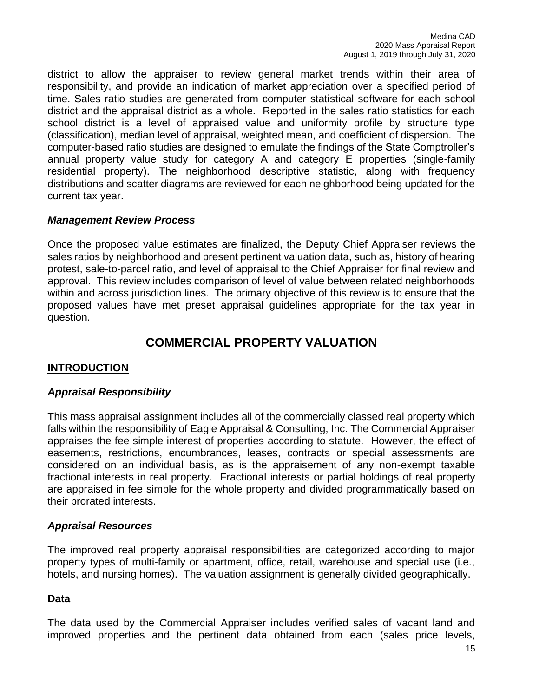district to allow the appraiser to review general market trends within their area of responsibility, and provide an indication of market appreciation over a specified period of time. Sales ratio studies are generated from computer statistical software for each school district and the appraisal district as a whole. Reported in the sales ratio statistics for each school district is a level of appraised value and uniformity profile by structure type (classification), median level of appraisal, weighted mean, and coefficient of dispersion. The computer-based ratio studies are designed to emulate the findings of the State Comptroller's annual property value study for category A and category E properties (single-family residential property). The neighborhood descriptive statistic, along with frequency distributions and scatter diagrams are reviewed for each neighborhood being updated for the current tax year.

## *Management Review Process*

Once the proposed value estimates are finalized, the Deputy Chief Appraiser reviews the sales ratios by neighborhood and present pertinent valuation data, such as, history of hearing protest, sale-to-parcel ratio, and level of appraisal to the Chief Appraiser for final review and approval. This review includes comparison of level of value between related neighborhoods within and across jurisdiction lines. The primary objective of this review is to ensure that the proposed values have met preset appraisal guidelines appropriate for the tax year in question.

# **COMMERCIAL PROPERTY VALUATION**

## **INTRODUCTION**

## *Appraisal Responsibility*

This mass appraisal assignment includes all of the commercially classed real property which falls within the responsibility of Eagle Appraisal & Consulting, Inc. The Commercial Appraiser appraises the fee simple interest of properties according to statute. However, the effect of easements, restrictions, encumbrances, leases, contracts or special assessments are considered on an individual basis, as is the appraisement of any non-exempt taxable fractional interests in real property. Fractional interests or partial holdings of real property are appraised in fee simple for the whole property and divided programmatically based on their prorated interests.

## *Appraisal Resources*

The improved real property appraisal responsibilities are categorized according to major property types of multi-family or apartment, office, retail, warehouse and special use (i.e., hotels, and nursing homes). The valuation assignment is generally divided geographically.

## **Data**

The data used by the Commercial Appraiser includes verified sales of vacant land and improved properties and the pertinent data obtained from each (sales price levels,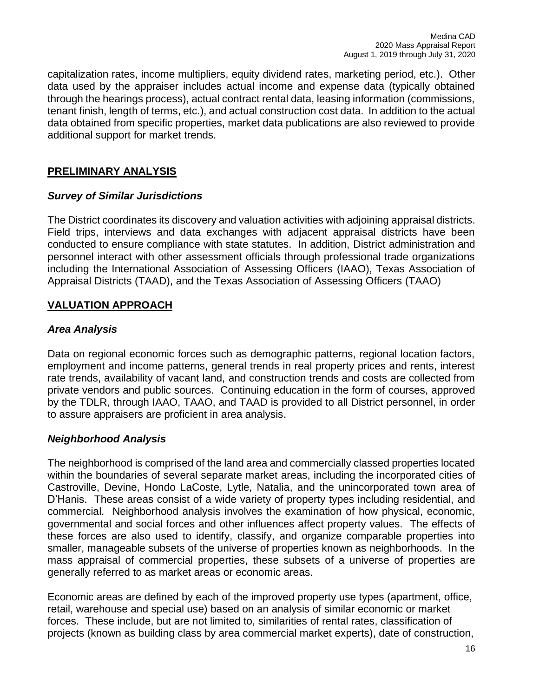capitalization rates, income multipliers, equity dividend rates, marketing period, etc.). Other data used by the appraiser includes actual income and expense data (typically obtained through the hearings process), actual contract rental data, leasing information (commissions, tenant finish, length of terms, etc.), and actual construction cost data. In addition to the actual data obtained from specific properties, market data publications are also reviewed to provide additional support for market trends.

## **PRELIMINARY ANALYSIS**

## *Survey of Similar Jurisdictions*

The District coordinates its discovery and valuation activities with adjoining appraisal districts. Field trips, interviews and data exchanges with adjacent appraisal districts have been conducted to ensure compliance with state statutes. In addition, District administration and personnel interact with other assessment officials through professional trade organizations including the International Association of Assessing Officers (IAAO), Texas Association of Appraisal Districts (TAAD), and the Texas Association of Assessing Officers (TAAO)

## **VALUATION APPROACH**

## *Area Analysis*

Data on regional economic forces such as demographic patterns, regional location factors, employment and income patterns, general trends in real property prices and rents, interest rate trends, availability of vacant land, and construction trends and costs are collected from private vendors and public sources. Continuing education in the form of courses, approved by the TDLR, through IAAO, TAAO, and TAAD is provided to all District personnel, in order to assure appraisers are proficient in area analysis.

## *Neighborhood Analysis*

The neighborhood is comprised of the land area and commercially classed properties located within the boundaries of several separate market areas, including the incorporated cities of Castroville, Devine, Hondo LaCoste, Lytle, Natalia, and the unincorporated town area of D'Hanis. These areas consist of a wide variety of property types including residential, and commercial. Neighborhood analysis involves the examination of how physical, economic, governmental and social forces and other influences affect property values. The effects of these forces are also used to identify, classify, and organize comparable properties into smaller, manageable subsets of the universe of properties known as neighborhoods. In the mass appraisal of commercial properties, these subsets of a universe of properties are generally referred to as market areas or economic areas.

Economic areas are defined by each of the improved property use types (apartment, office, retail, warehouse and special use) based on an analysis of similar economic or market forces. These include, but are not limited to, similarities of rental rates, classification of projects (known as building class by area commercial market experts), date of construction,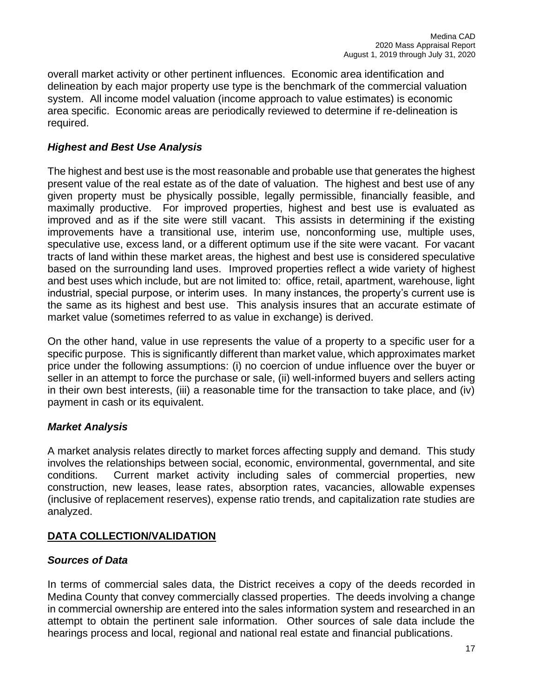overall market activity or other pertinent influences. Economic area identification and delineation by each major property use type is the benchmark of the commercial valuation system. All income model valuation (income approach to value estimates) is economic area specific. Economic areas are periodically reviewed to determine if re-delineation is required.

## *Highest and Best Use Analysis*

The highest and best use is the most reasonable and probable use that generates the highest present value of the real estate as of the date of valuation. The highest and best use of any given property must be physically possible, legally permissible, financially feasible, and maximally productive. For improved properties, highest and best use is evaluated as improved and as if the site were still vacant. This assists in determining if the existing improvements have a transitional use, interim use, nonconforming use, multiple uses, speculative use, excess land, or a different optimum use if the site were vacant. For vacant tracts of land within these market areas, the highest and best use is considered speculative based on the surrounding land uses. Improved properties reflect a wide variety of highest and best uses which include, but are not limited to: office, retail, apartment, warehouse, light industrial, special purpose, or interim uses. In many instances, the property's current use is the same as its highest and best use. This analysis insures that an accurate estimate of market value (sometimes referred to as value in exchange) is derived.

On the other hand, value in use represents the value of a property to a specific user for a specific purpose. This is significantly different than market value, which approximates market price under the following assumptions: (i) no coercion of undue influence over the buyer or seller in an attempt to force the purchase or sale, (ii) well-informed buyers and sellers acting in their own best interests, (iii) a reasonable time for the transaction to take place, and (iv) payment in cash or its equivalent.

## *Market Analysis*

A market analysis relates directly to market forces affecting supply and demand. This study involves the relationships between social, economic, environmental, governmental, and site conditions. Current market activity including sales of commercial properties, new construction, new leases, lease rates, absorption rates, vacancies, allowable expenses (inclusive of replacement reserves), expense ratio trends, and capitalization rate studies are analyzed.

## **DATA COLLECTION/VALIDATION**

## *Sources of Data*

In terms of commercial sales data, the District receives a copy of the deeds recorded in Medina County that convey commercially classed properties. The deeds involving a change in commercial ownership are entered into the sales information system and researched in an attempt to obtain the pertinent sale information. Other sources of sale data include the hearings process and local, regional and national real estate and financial publications.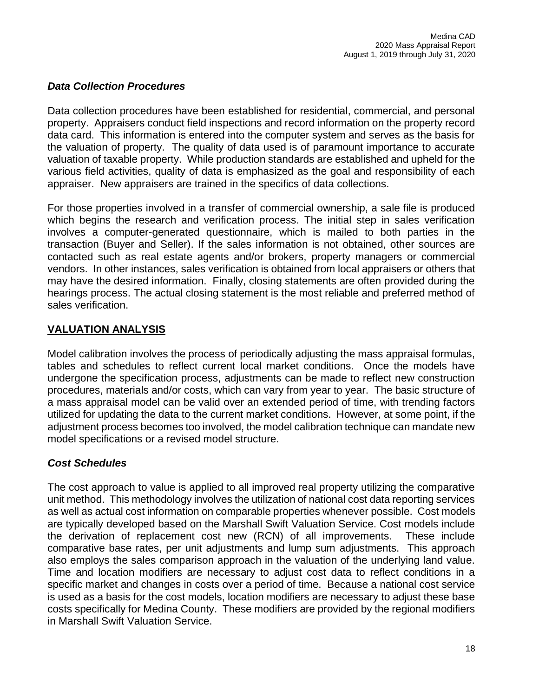## *Data Collection Procedures*

Data collection procedures have been established for residential, commercial, and personal property. Appraisers conduct field inspections and record information on the property record data card. This information is entered into the computer system and serves as the basis for the valuation of property. The quality of data used is of paramount importance to accurate valuation of taxable property. While production standards are established and upheld for the various field activities, quality of data is emphasized as the goal and responsibility of each appraiser. New appraisers are trained in the specifics of data collections.

For those properties involved in a transfer of commercial ownership, a sale file is produced which begins the research and verification process. The initial step in sales verification involves a computer-generated questionnaire, which is mailed to both parties in the transaction (Buyer and Seller). If the sales information is not obtained, other sources are contacted such as real estate agents and/or brokers, property managers or commercial vendors. In other instances, sales verification is obtained from local appraisers or others that may have the desired information. Finally, closing statements are often provided during the hearings process. The actual closing statement is the most reliable and preferred method of sales verification.

## **VALUATION ANALYSIS**

Model calibration involves the process of periodically adjusting the mass appraisal formulas, tables and schedules to reflect current local market conditions. Once the models have undergone the specification process, adjustments can be made to reflect new construction procedures, materials and/or costs, which can vary from year to year. The basic structure of a mass appraisal model can be valid over an extended period of time, with trending factors utilized for updating the data to the current market conditions. However, at some point, if the adjustment process becomes too involved, the model calibration technique can mandate new model specifications or a revised model structure.

## *Cost Schedules*

The cost approach to value is applied to all improved real property utilizing the comparative unit method. This methodology involves the utilization of national cost data reporting services as well as actual cost information on comparable properties whenever possible. Cost models are typically developed based on the Marshall Swift Valuation Service. Cost models include the derivation of replacement cost new (RCN) of all improvements. These include comparative base rates, per unit adjustments and lump sum adjustments. This approach also employs the sales comparison approach in the valuation of the underlying land value. Time and location modifiers are necessary to adjust cost data to reflect conditions in a specific market and changes in costs over a period of time. Because a national cost service is used as a basis for the cost models, location modifiers are necessary to adjust these base costs specifically for Medina County. These modifiers are provided by the regional modifiers in Marshall Swift Valuation Service.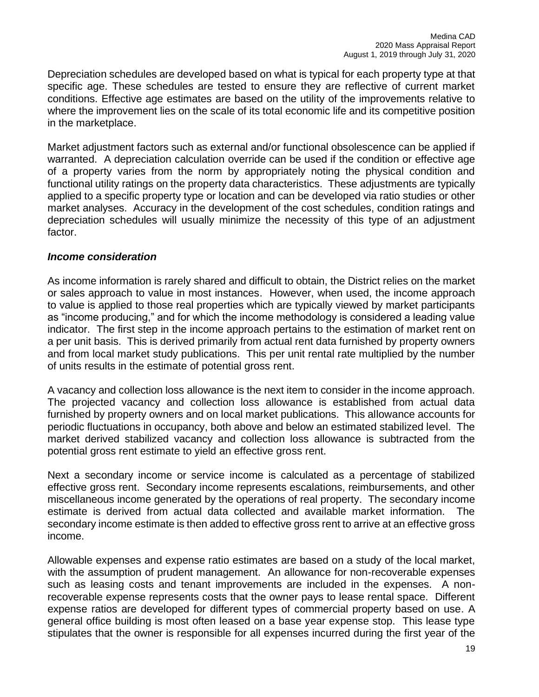Depreciation schedules are developed based on what is typical for each property type at that specific age. These schedules are tested to ensure they are reflective of current market conditions. Effective age estimates are based on the utility of the improvements relative to where the improvement lies on the scale of its total economic life and its competitive position in the marketplace.

Market adjustment factors such as external and/or functional obsolescence can be applied if warranted. A depreciation calculation override can be used if the condition or effective age of a property varies from the norm by appropriately noting the physical condition and functional utility ratings on the property data characteristics. These adjustments are typically applied to a specific property type or location and can be developed via ratio studies or other market analyses. Accuracy in the development of the cost schedules, condition ratings and depreciation schedules will usually minimize the necessity of this type of an adjustment factor.

#### *Income consideration*

As income information is rarely shared and difficult to obtain, the District relies on the market or sales approach to value in most instances. However, when used, the income approach to value is applied to those real properties which are typically viewed by market participants as "income producing," and for which the income methodology is considered a leading value indicator. The first step in the income approach pertains to the estimation of market rent on a per unit basis. This is derived primarily from actual rent data furnished by property owners and from local market study publications. This per unit rental rate multiplied by the number of units results in the estimate of potential gross rent.

A vacancy and collection loss allowance is the next item to consider in the income approach. The projected vacancy and collection loss allowance is established from actual data furnished by property owners and on local market publications. This allowance accounts for periodic fluctuations in occupancy, both above and below an estimated stabilized level. The market derived stabilized vacancy and collection loss allowance is subtracted from the potential gross rent estimate to yield an effective gross rent.

Next a secondary income or service income is calculated as a percentage of stabilized effective gross rent. Secondary income represents escalations, reimbursements, and other miscellaneous income generated by the operations of real property. The secondary income estimate is derived from actual data collected and available market information. The secondary income estimate is then added to effective gross rent to arrive at an effective gross income.

Allowable expenses and expense ratio estimates are based on a study of the local market, with the assumption of prudent management. An allowance for non-recoverable expenses such as leasing costs and tenant improvements are included in the expenses. A nonrecoverable expense represents costs that the owner pays to lease rental space. Different expense ratios are developed for different types of commercial property based on use. A general office building is most often leased on a base year expense stop. This lease type stipulates that the owner is responsible for all expenses incurred during the first year of the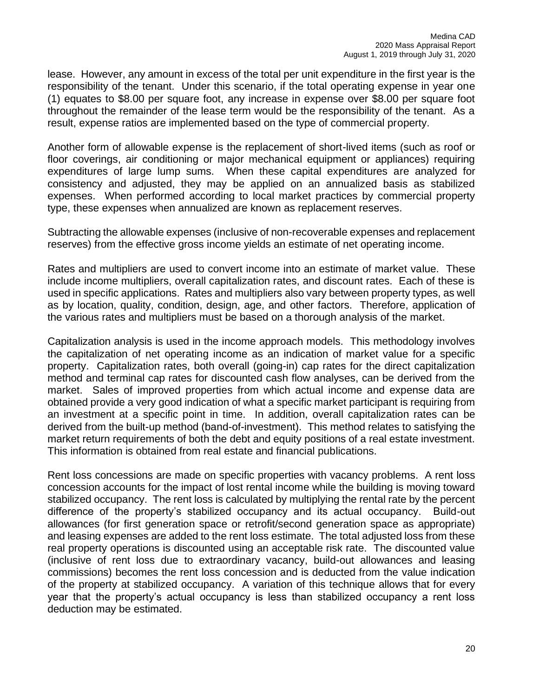lease. However, any amount in excess of the total per unit expenditure in the first year is the responsibility of the tenant. Under this scenario, if the total operating expense in year one (1) equates to \$8.00 per square foot, any increase in expense over \$8.00 per square foot throughout the remainder of the lease term would be the responsibility of the tenant. As a result, expense ratios are implemented based on the type of commercial property.

Another form of allowable expense is the replacement of short-lived items (such as roof or floor coverings, air conditioning or major mechanical equipment or appliances) requiring expenditures of large lump sums. When these capital expenditures are analyzed for consistency and adjusted, they may be applied on an annualized basis as stabilized expenses. When performed according to local market practices by commercial property type, these expenses when annualized are known as replacement reserves.

Subtracting the allowable expenses (inclusive of non-recoverable expenses and replacement reserves) from the effective gross income yields an estimate of net operating income.

Rates and multipliers are used to convert income into an estimate of market value. These include income multipliers, overall capitalization rates, and discount rates. Each of these is used in specific applications. Rates and multipliers also vary between property types, as well as by location, quality, condition, design, age, and other factors. Therefore, application of the various rates and multipliers must be based on a thorough analysis of the market.

Capitalization analysis is used in the income approach models. This methodology involves the capitalization of net operating income as an indication of market value for a specific property. Capitalization rates, both overall (going-in) cap rates for the direct capitalization method and terminal cap rates for discounted cash flow analyses, can be derived from the market. Sales of improved properties from which actual income and expense data are obtained provide a very good indication of what a specific market participant is requiring from an investment at a specific point in time. In addition, overall capitalization rates can be derived from the built-up method (band-of-investment). This method relates to satisfying the market return requirements of both the debt and equity positions of a real estate investment. This information is obtained from real estate and financial publications.

Rent loss concessions are made on specific properties with vacancy problems. A rent loss concession accounts for the impact of lost rental income while the building is moving toward stabilized occupancy. The rent loss is calculated by multiplying the rental rate by the percent difference of the property's stabilized occupancy and its actual occupancy. Build-out allowances (for first generation space or retrofit/second generation space as appropriate) and leasing expenses are added to the rent loss estimate. The total adjusted loss from these real property operations is discounted using an acceptable risk rate. The discounted value (inclusive of rent loss due to extraordinary vacancy, build-out allowances and leasing commissions) becomes the rent loss concession and is deducted from the value indication of the property at stabilized occupancy. A variation of this technique allows that for every year that the property's actual occupancy is less than stabilized occupancy a rent loss deduction may be estimated.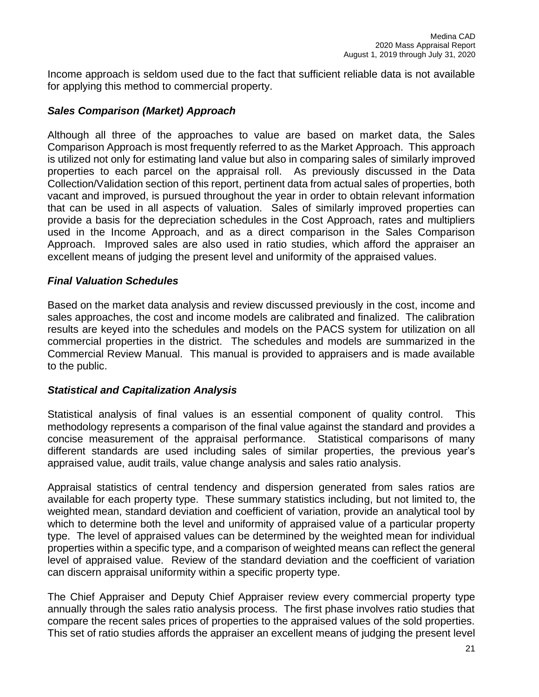Income approach is seldom used due to the fact that sufficient reliable data is not available for applying this method to commercial property.

## *Sales Comparison (Market) Approach*

Although all three of the approaches to value are based on market data, the Sales Comparison Approach is most frequently referred to as the Market Approach. This approach is utilized not only for estimating land value but also in comparing sales of similarly improved properties to each parcel on the appraisal roll. As previously discussed in the Data Collection/Validation section of this report, pertinent data from actual sales of properties, both vacant and improved, is pursued throughout the year in order to obtain relevant information that can be used in all aspects of valuation. Sales of similarly improved properties can provide a basis for the depreciation schedules in the Cost Approach, rates and multipliers used in the Income Approach, and as a direct comparison in the Sales Comparison Approach. Improved sales are also used in ratio studies, which afford the appraiser an excellent means of judging the present level and uniformity of the appraised values.

## *Final Valuation Schedules*

Based on the market data analysis and review discussed previously in the cost, income and sales approaches, the cost and income models are calibrated and finalized. The calibration results are keyed into the schedules and models on the PACS system for utilization on all commercial properties in the district. The schedules and models are summarized in the Commercial Review Manual. This manual is provided to appraisers and is made available to the public.

## *Statistical and Capitalization Analysis*

Statistical analysis of final values is an essential component of quality control. This methodology represents a comparison of the final value against the standard and provides a concise measurement of the appraisal performance. Statistical comparisons of many different standards are used including sales of similar properties, the previous year's appraised value, audit trails, value change analysis and sales ratio analysis.

Appraisal statistics of central tendency and dispersion generated from sales ratios are available for each property type. These summary statistics including, but not limited to, the weighted mean, standard deviation and coefficient of variation, provide an analytical tool by which to determine both the level and uniformity of appraised value of a particular property type. The level of appraised values can be determined by the weighted mean for individual properties within a specific type, and a comparison of weighted means can reflect the general level of appraised value. Review of the standard deviation and the coefficient of variation can discern appraisal uniformity within a specific property type.

The Chief Appraiser and Deputy Chief Appraiser review every commercial property type annually through the sales ratio analysis process. The first phase involves ratio studies that compare the recent sales prices of properties to the appraised values of the sold properties. This set of ratio studies affords the appraiser an excellent means of judging the present level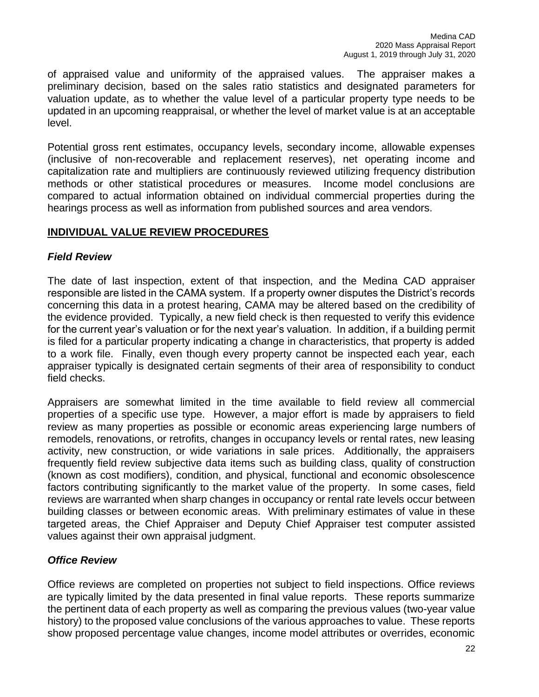of appraised value and uniformity of the appraised values. The appraiser makes a preliminary decision, based on the sales ratio statistics and designated parameters for valuation update, as to whether the value level of a particular property type needs to be updated in an upcoming reappraisal, or whether the level of market value is at an acceptable level.

Potential gross rent estimates, occupancy levels, secondary income, allowable expenses (inclusive of non-recoverable and replacement reserves), net operating income and capitalization rate and multipliers are continuously reviewed utilizing frequency distribution methods or other statistical procedures or measures. Income model conclusions are compared to actual information obtained on individual commercial properties during the hearings process as well as information from published sources and area vendors.

## **INDIVIDUAL VALUE REVIEW PROCEDURES**

## *Field Review*

The date of last inspection, extent of that inspection, and the Medina CAD appraiser responsible are listed in the CAMA system. If a property owner disputes the District's records concerning this data in a protest hearing, CAMA may be altered based on the credibility of the evidence provided. Typically, a new field check is then requested to verify this evidence for the current year's valuation or for the next year's valuation. In addition, if a building permit is filed for a particular property indicating a change in characteristics, that property is added to a work file. Finally, even though every property cannot be inspected each year, each appraiser typically is designated certain segments of their area of responsibility to conduct field checks.

Appraisers are somewhat limited in the time available to field review all commercial properties of a specific use type. However, a major effort is made by appraisers to field review as many properties as possible or economic areas experiencing large numbers of remodels, renovations, or retrofits, changes in occupancy levels or rental rates, new leasing activity, new construction, or wide variations in sale prices. Additionally, the appraisers frequently field review subjective data items such as building class, quality of construction (known as cost modifiers), condition, and physical, functional and economic obsolescence factors contributing significantly to the market value of the property. In some cases, field reviews are warranted when sharp changes in occupancy or rental rate levels occur between building classes or between economic areas. With preliminary estimates of value in these targeted areas, the Chief Appraiser and Deputy Chief Appraiser test computer assisted values against their own appraisal judgment.

## *Office Review*

Office reviews are completed on properties not subject to field inspections. Office reviews are typically limited by the data presented in final value reports. These reports summarize the pertinent data of each property as well as comparing the previous values (two-year value history) to the proposed value conclusions of the various approaches to value. These reports show proposed percentage value changes, income model attributes or overrides, economic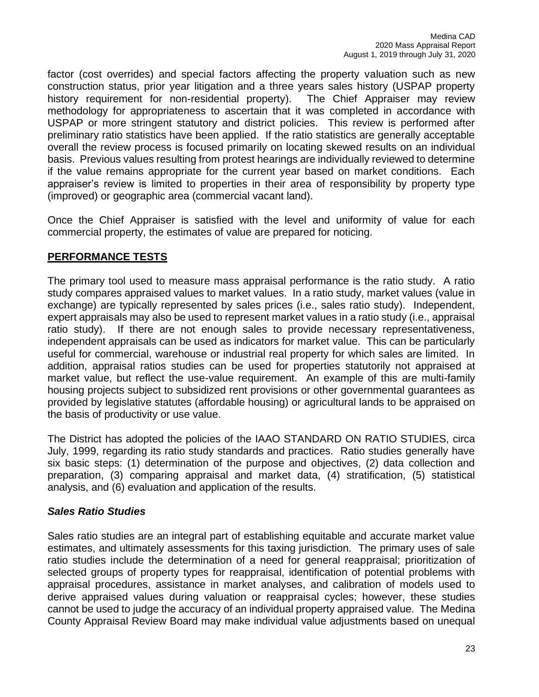factor (cost overrides) and special factors affecting the property valuation such as new construction status, prior year litigation and a three years sales history (USPAP property history requirement for non-residential property). The Chief Appraiser may review methodology for appropriateness to ascertain that it was completed in accordance with USPAP or more stringent statutory and district policies. This review is performed after preliminary ratio statistics have been applied. If the ratio statistics are generally acceptable overall the review process is focused primarily on locating skewed results on an individual basis. Previous values resulting from protest hearings are individually reviewed to determine if the value remains appropriate for the current year based on market conditions. Each appraiser's review is limited to properties in their area of responsibility by property type (improved) or geographic area (commercial vacant land).

Once the Chief Appraiser is satisfied with the level and uniformity of value for each commercial property, the estimates of value are prepared for noticing.

## **PERFORMANCE TESTS**

The primary tool used to measure mass appraisal performance is the ratio study. A ratio study compares appraised values to market values. In a ratio study, market values (value in exchange) are typically represented by sales prices (i.e., sales ratio study). Independent, expert appraisals may also be used to represent market values in a ratio study (i.e., appraisal ratio study). If there are not enough sales to provide necessary representativeness, independent appraisals can be used as indicators for market value. This can be particularly useful for commercial, warehouse or industrial real property for which sales are limited. In addition, appraisal ratios studies can be used for properties statutorily not appraised at market value, but reflect the use-value requirement. An example of this are multi-family housing projects subject to subsidized rent provisions or other governmental guarantees as provided by legislative statutes (affordable housing) or agricultural lands to be appraised on the basis of productivity or use value.

The District has adopted the policies of the IAAO STANDARD ON RATIO STUDIES, circa July, 1999, regarding its ratio study standards and practices. Ratio studies generally have six basic steps: (1) determination of the purpose and objectives, (2) data collection and preparation, (3) comparing appraisal and market data, (4) stratification, (5) statistical analysis, and (6) evaluation and application of the results.

## *Sales Ratio Studies*

Sales ratio studies are an integral part of establishing equitable and accurate market value estimates, and ultimately assessments for this taxing jurisdiction. The primary uses of sale ratio studies include the determination of a need for general reappraisal; prioritization of selected groups of property types for reappraisal, identification of potential problems with appraisal procedures, assistance in market analyses, and calibration of models used to derive appraised values during valuation or reappraisal cycles; however, these studies cannot be used to judge the accuracy of an individual property appraised value. The Medina County Appraisal Review Board may make individual value adjustments based on unequal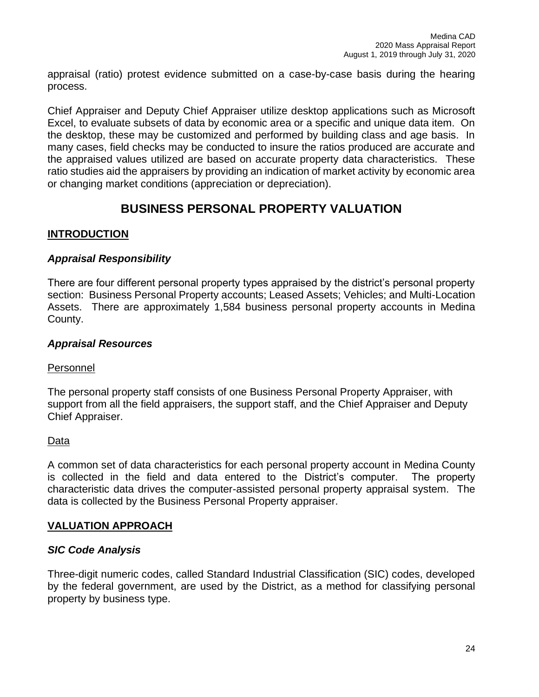appraisal (ratio) protest evidence submitted on a case-by-case basis during the hearing process.

Chief Appraiser and Deputy Chief Appraiser utilize desktop applications such as Microsoft Excel, to evaluate subsets of data by economic area or a specific and unique data item. On the desktop, these may be customized and performed by building class and age basis. In many cases, field checks may be conducted to insure the ratios produced are accurate and the appraised values utilized are based on accurate property data characteristics. These ratio studies aid the appraisers by providing an indication of market activity by economic area or changing market conditions (appreciation or depreciation).

# **BUSINESS PERSONAL PROPERTY VALUATION**

## **INTRODUCTION**

## *Appraisal Responsibility*

There are four different personal property types appraised by the district's personal property section: Business Personal Property accounts; Leased Assets; Vehicles; and Multi-Location Assets. There are approximately 1,584 business personal property accounts in Medina County.

## *Appraisal Resources*

## Personnel

The personal property staff consists of one Business Personal Property Appraiser, with support from all the field appraisers, the support staff, and the Chief Appraiser and Deputy Chief Appraiser.

## Data

A common set of data characteristics for each personal property account in Medina County is collected in the field and data entered to the District's computer. The property characteristic data drives the computer-assisted personal property appraisal system. The data is collected by the Business Personal Property appraiser.

## **VALUATION APPROACH**

## *SIC Code Analysis*

Three-digit numeric codes, called Standard Industrial Classification (SIC) codes, developed by the federal government, are used by the District, as a method for classifying personal property by business type.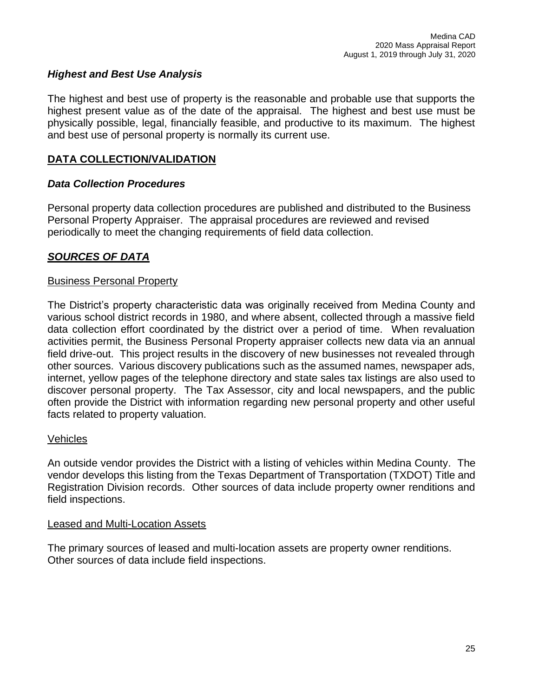## *Highest and Best Use Analysis*

The highest and best use of property is the reasonable and probable use that supports the highest present value as of the date of the appraisal. The highest and best use must be physically possible, legal, financially feasible, and productive to its maximum. The highest and best use of personal property is normally its current use.

## **DATA COLLECTION/VALIDATION**

#### *Data Collection Procedures*

Personal property data collection procedures are published and distributed to the Business Personal Property Appraiser. The appraisal procedures are reviewed and revised periodically to meet the changing requirements of field data collection.

## *SOURCES OF DATA*

#### Business Personal Property

The District's property characteristic data was originally received from Medina County and various school district records in 1980, and where absent, collected through a massive field data collection effort coordinated by the district over a period of time. When revaluation activities permit, the Business Personal Property appraiser collects new data via an annual field drive-out. This project results in the discovery of new businesses not revealed through other sources. Various discovery publications such as the assumed names, newspaper ads, internet, yellow pages of the telephone directory and state sales tax listings are also used to discover personal property. The Tax Assessor, city and local newspapers, and the public often provide the District with information regarding new personal property and other useful facts related to property valuation.

#### Vehicles

An outside vendor provides the District with a listing of vehicles within Medina County. The vendor develops this listing from the Texas Department of Transportation (TXDOT) Title and Registration Division records. Other sources of data include property owner renditions and field inspections.

#### Leased and Multi-Location Assets

The primary sources of leased and multi-location assets are property owner renditions. Other sources of data include field inspections.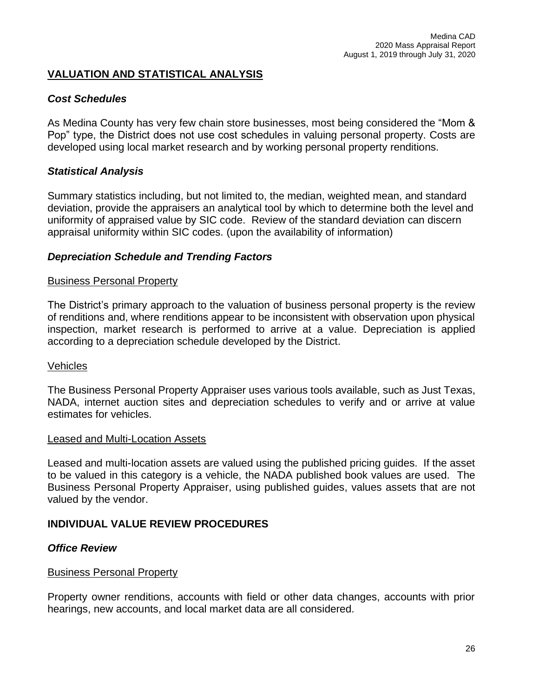## **VALUATION AND STATISTICAL ANALYSIS**

## *Cost Schedules*

As Medina County has very few chain store businesses, most being considered the "Mom & Pop" type, the District does not use cost schedules in valuing personal property. Costs are developed using local market research and by working personal property renditions.

## *Statistical Analysis*

Summary statistics including, but not limited to, the median, weighted mean, and standard deviation, provide the appraisers an analytical tool by which to determine both the level and uniformity of appraised value by SIC code. Review of the standard deviation can discern appraisal uniformity within SIC codes. (upon the availability of information)

## *Depreciation Schedule and Trending Factors*

#### Business Personal Property

The District's primary approach to the valuation of business personal property is the review of renditions and, where renditions appear to be inconsistent with observation upon physical inspection, market research is performed to arrive at a value. Depreciation is applied according to a depreciation schedule developed by the District.

## Vehicles

The Business Personal Property Appraiser uses various tools available, such as Just Texas, NADA, internet auction sites and depreciation schedules to verify and or arrive at value estimates for vehicles.

#### Leased and Multi-Location Assets

Leased and multi-location assets are valued using the published pricing guides. If the asset to be valued in this category is a vehicle, the NADA published book values are used. The Business Personal Property Appraiser, using published guides, values assets that are not valued by the vendor.

## **INDIVIDUAL VALUE REVIEW PROCEDURES**

## *Office Review*

## Business Personal Property

Property owner renditions, accounts with field or other data changes, accounts with prior hearings, new accounts, and local market data are all considered.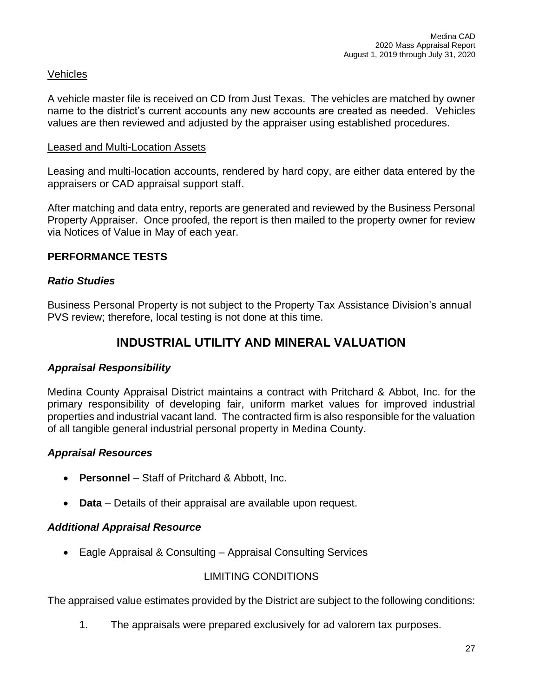## Vehicles

A vehicle master file is received on CD from Just Texas. The vehicles are matched by owner name to the district's current accounts any new accounts are created as needed. Vehicles values are then reviewed and adjusted by the appraiser using established procedures.

#### Leased and Multi-Location Assets

Leasing and multi-location accounts, rendered by hard copy, are either data entered by the appraisers or CAD appraisal support staff.

After matching and data entry, reports are generated and reviewed by the Business Personal Property Appraiser. Once proofed, the report is then mailed to the property owner for review via Notices of Value in May of each year.

## **PERFORMANCE TESTS**

## *Ratio Studies*

Business Personal Property is not subject to the Property Tax Assistance Division's annual PVS review; therefore, local testing is not done at this time.

## **INDUSTRIAL UTILITY AND MINERAL VALUATION**

## *Appraisal Responsibility*

Medina County Appraisal District maintains a contract with Pritchard & Abbot, Inc. for the primary responsibility of developing fair, uniform market values for improved industrial properties and industrial vacant land. The contracted firm is also responsible for the valuation of all tangible general industrial personal property in Medina County.

## *Appraisal Resources*

- **Personnel** Staff of Pritchard & Abbott, Inc.
- **Data** Details of their appraisal are available upon request.

## *Additional Appraisal Resource*

• Eagle Appraisal & Consulting – Appraisal Consulting Services

## LIMITING CONDITIONS

The appraised value estimates provided by the District are subject to the following conditions:

1. The appraisals were prepared exclusively for ad valorem tax purposes.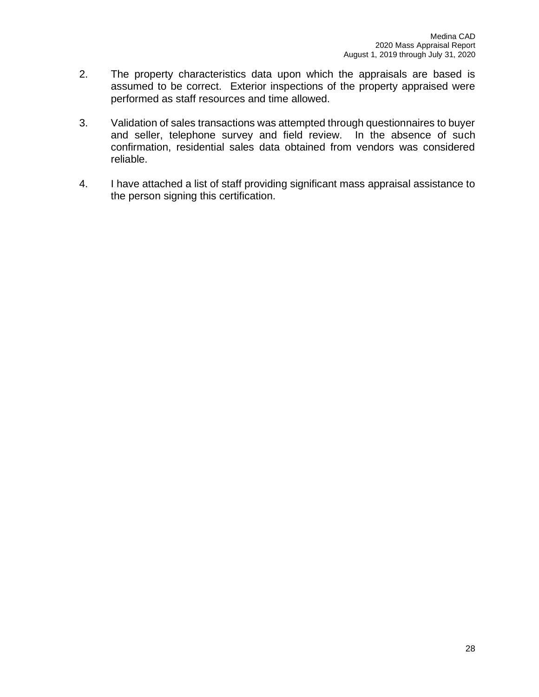- 2. The property characteristics data upon which the appraisals are based is assumed to be correct. Exterior inspections of the property appraised were performed as staff resources and time allowed.
- 3. Validation of sales transactions was attempted through questionnaires to buyer and seller, telephone survey and field review. In the absence of such confirmation, residential sales data obtained from vendors was considered reliable.
- 4. I have attached a list of staff providing significant mass appraisal assistance to the person signing this certification.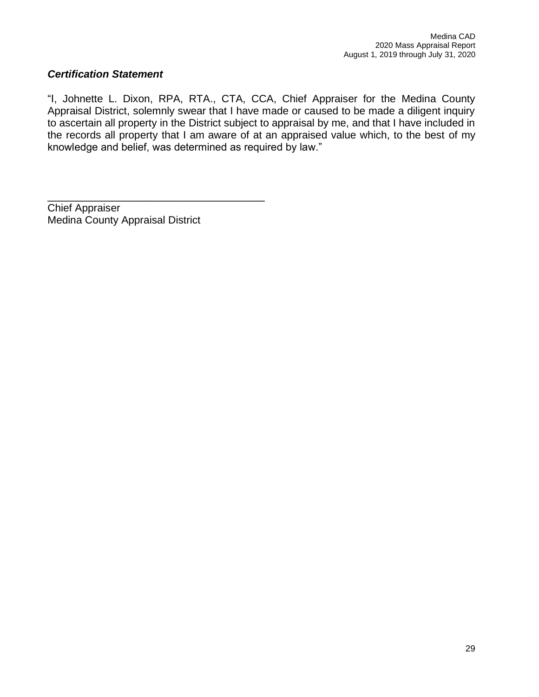## *Certification Statement*

"I, Johnette L. Dixon, RPA, RTA., CTA, CCA, Chief Appraiser for the Medina County Appraisal District, solemnly swear that I have made or caused to be made a diligent inquiry to ascertain all property in the District subject to appraisal by me, and that I have included in the records all property that I am aware of at an appraised value which, to the best of my knowledge and belief, was determined as required by law."

Chief Appraiser Medina County Appraisal District

\_\_\_\_\_\_\_\_\_\_\_\_\_\_\_\_\_\_\_\_\_\_\_\_\_\_\_\_\_\_\_\_\_\_\_\_\_